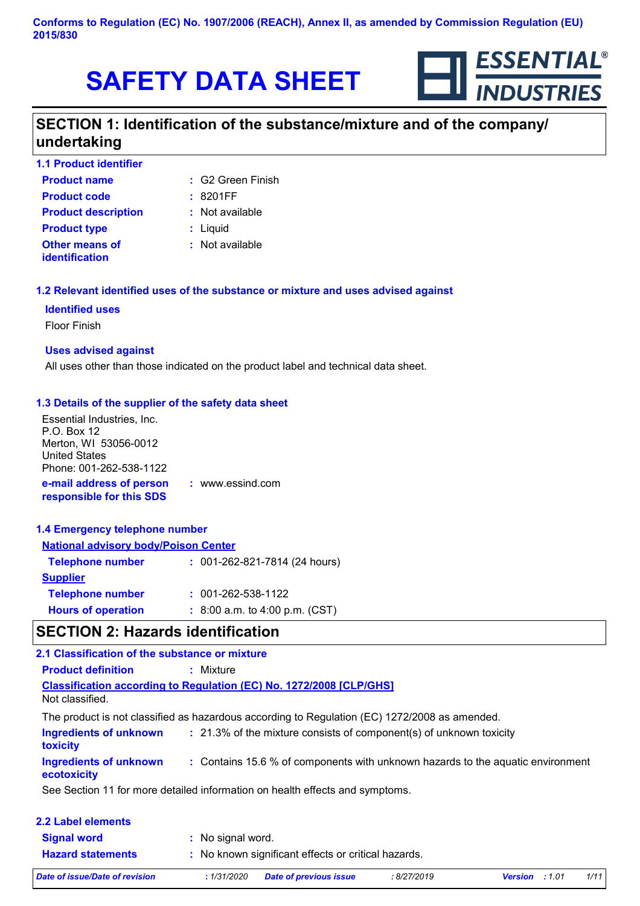

# **SECTION 1: Identification of the substance/mixture and of the company/ undertaking**

| <b>1.1 Product identifier</b>           |                     |
|-----------------------------------------|---------------------|
| <b>Product name</b>                     | $: G2$ Green Finish |
| <b>Product code</b>                     | :8201FF             |
| <b>Product description</b>              | : Not available     |
| <b>Product type</b>                     | : Liquid            |
| <b>Other means of</b><br>identification | : Not available     |
|                                         |                     |

## **1.2 Relevant identified uses of the substance or mixture and uses advised against**

#### **Identified uses**

Floor Finish

#### **Uses advised against**

All uses other than those indicated on the product label and technical data sheet.

## **1.3 Details of the supplier of the safety data sheet**

| Essential Industries, Inc.<br>P.O. Box 12<br>Merton, WI 53056-0012<br><b>United States</b><br>Phone: 001-262-538-1122 |                  |
|-----------------------------------------------------------------------------------------------------------------------|------------------|
| e-mail address of person<br>responsible for this SDS                                                                  | : www.essind.com |

#### **1.4 Emergency telephone number**

| <b>National advisory body/Poison Center</b> |  |                                  |
|---------------------------------------------|--|----------------------------------|
| <b>Telephone number</b>                     |  | : 001-262-821-7814 (24 hours)    |
| <b>Supplier</b>                             |  |                                  |
| <b>Telephone number</b>                     |  | $: 001 - 262 - 538 - 1122$       |
| <b>Hours of operation</b>                   |  | $: 8:00$ a.m. to 4:00 p.m. (CST) |

# **SECTION 2: Hazards identification**

| 2.1 Classification of the substance or mixture   |                                                                                               |
|--------------------------------------------------|-----------------------------------------------------------------------------------------------|
| <b>Product definition</b>                        | : Mixture                                                                                     |
| Not classified.                                  | <b>Classification according to Regulation (EC) No. 1272/2008 [CLP/GHS]</b>                    |
|                                                  | The product is not classified as hazardous according to Regulation (EC) 1272/2008 as amended. |
| <b>Ingredients of unknown</b><br><b>toxicity</b> | : 21.3% of the mixture consists of component(s) of unknown toxicity                           |
| <b>Ingredients of unknown</b><br>ecotoxicity     | : Contains 15.6 % of components with unknown hazards to the aquatic environment               |
|                                                  | See Section 11 for more detailed information on health effects and symptoms.                  |
| 2.2 Label elements                               |                                                                                               |
| <b><i><u>Cianal word</u></i></b>                 | • No cianal word                                                                              |

| <b>Signal word</b>       | : No signal word.                                   |
|--------------------------|-----------------------------------------------------|
| <b>Hazard statements</b> | : No known significant effects or critical hazards. |
|                          |                                                     |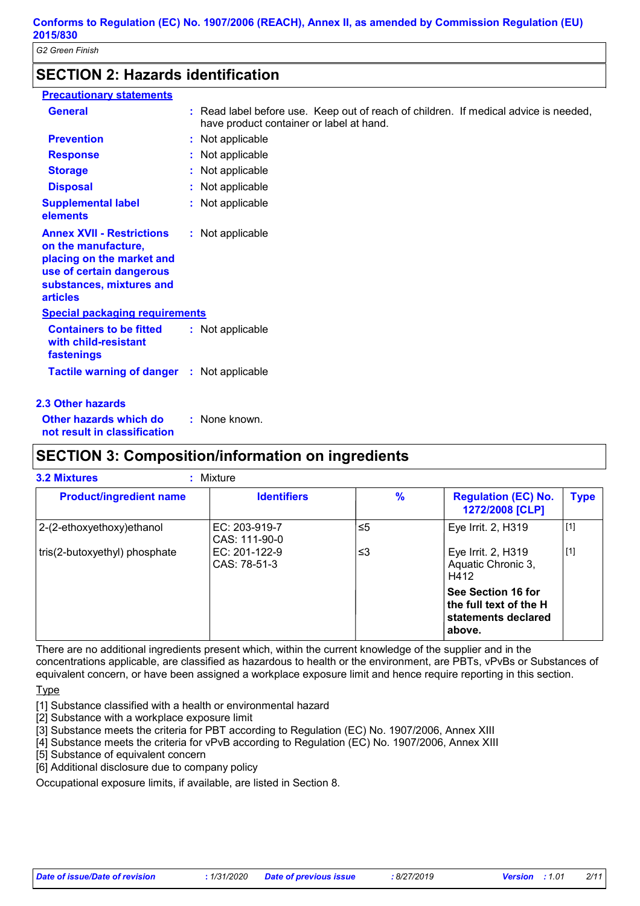# **SECTION 2: Hazards identification**

| <b>Precautionary statements</b>                                                                                                                                 |                                                                                                                                  |
|-----------------------------------------------------------------------------------------------------------------------------------------------------------------|----------------------------------------------------------------------------------------------------------------------------------|
| <b>General</b>                                                                                                                                                  | : Read label before use. Keep out of reach of children. If medical advice is needed,<br>have product container or label at hand. |
| <b>Prevention</b>                                                                                                                                               | : Not applicable                                                                                                                 |
| <b>Response</b>                                                                                                                                                 | : Not applicable                                                                                                                 |
| <b>Storage</b>                                                                                                                                                  | : Not applicable                                                                                                                 |
| <b>Disposal</b>                                                                                                                                                 | : Not applicable                                                                                                                 |
| <b>Supplemental label</b><br>elements                                                                                                                           | : Not applicable                                                                                                                 |
| <b>Annex XVII - Restrictions</b><br>on the manufacture,<br>placing on the market and<br>use of certain dangerous<br>substances, mixtures and<br><b>articles</b> | : Not applicable                                                                                                                 |
| <b>Special packaging requirements</b>                                                                                                                           |                                                                                                                                  |
| <b>Containers to be fitted</b><br>with child-resistant<br>fastenings                                                                                            | : Not applicable                                                                                                                 |
| <b>Tactile warning of danger : Not applicable</b>                                                                                                               |                                                                                                                                  |

## **2.3 Other hazards**

**Other hazards which do : not result in classification** : None known.

# **SECTION 3: Composition/information on ingredients**

| <b>Product/ingredient name</b>                                 | <b>Identifiers</b>             | $\frac{9}{6}$ | <b>Regulation (EC) No.</b><br>1272/2008 [CLP]                                 | <b>Type</b> |
|----------------------------------------------------------------|--------------------------------|---------------|-------------------------------------------------------------------------------|-------------|
| 2-(2-ethoxyethoxy) ethanol                                     | EC: 203-919-7<br>CAS: 111-90-0 | $\leq 5$      | Eye Irrit. 2, H319                                                            | $[1]$       |
| tris(2-butoxyethyl) phosphate<br>EC: 201-122-9<br>CAS: 78-51-3 |                                | צ≥            | Eye Irrit. 2, H319<br>Aquatic Chronic 3,<br>H412                              | $[1]$       |
|                                                                |                                |               | See Section 16 for<br>the full text of the H<br>statements declared<br>above. |             |

There are no additional ingredients present which, within the current knowledge of the supplier and in the concentrations applicable, are classified as hazardous to health or the environment, are PBTs, vPvBs or Substances of equivalent concern, or have been assigned a workplace exposure limit and hence require reporting in this section.

Type

[1] Substance classified with a health or environmental hazard

[2] Substance with a workplace exposure limit

[3] Substance meets the criteria for PBT according to Regulation (EC) No. 1907/2006, Annex XIII

[4] Substance meets the criteria for vPvB according to Regulation (EC) No. 1907/2006, Annex XIII

[5] Substance of equivalent concern

[6] Additional disclosure due to company policy

Occupational exposure limits, if available, are listed in Section 8.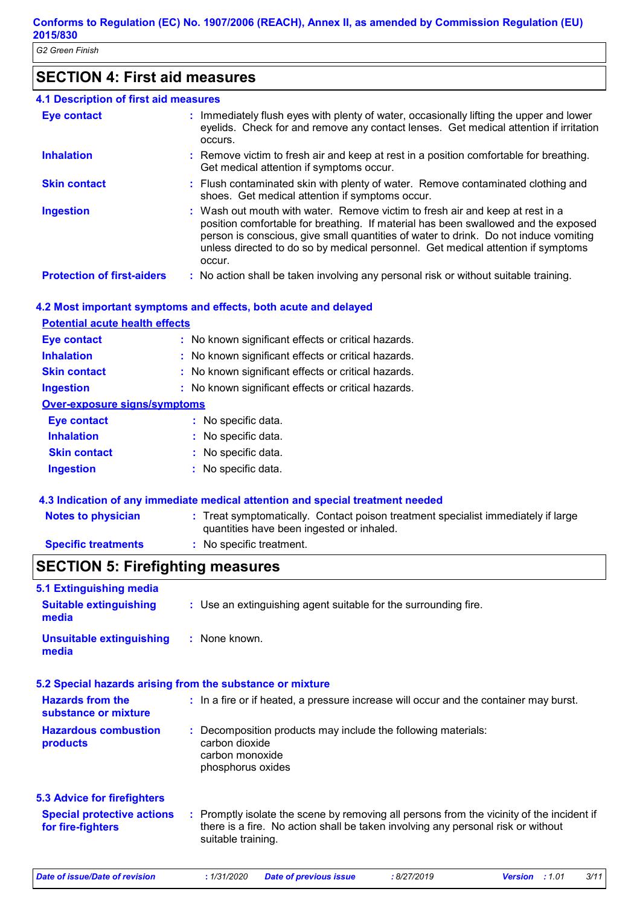# **SECTION 4: First aid measures**

| 4.1 Description of first aid measures |                                                                                                                                                                                                                                                                                                                                                           |
|---------------------------------------|-----------------------------------------------------------------------------------------------------------------------------------------------------------------------------------------------------------------------------------------------------------------------------------------------------------------------------------------------------------|
| <b>Eye contact</b>                    | : Immediately flush eyes with plenty of water, occasionally lifting the upper and lower<br>eyelids. Check for and remove any contact lenses. Get medical attention if irritation<br>occurs.                                                                                                                                                               |
| <b>Inhalation</b>                     | : Remove victim to fresh air and keep at rest in a position comfortable for breathing.<br>Get medical attention if symptoms occur.                                                                                                                                                                                                                        |
| <b>Skin contact</b>                   | : Flush contaminated skin with plenty of water. Remove contaminated clothing and<br>shoes. Get medical attention if symptoms occur.                                                                                                                                                                                                                       |
| <b>Ingestion</b>                      | : Wash out mouth with water. Remove victim to fresh air and keep at rest in a<br>position comfortable for breathing. If material has been swallowed and the exposed<br>person is conscious, give small quantities of water to drink. Do not induce vomiting<br>unless directed to do so by medical personnel. Get medical attention if symptoms<br>occur. |
| <b>Protection of first-aiders</b>     | : No action shall be taken involving any personal risk or without suitable training.                                                                                                                                                                                                                                                                      |

# **4.2 Most important symptoms and effects, both acute and delayed**

| <b>Potential acute health effects</b>               |
|-----------------------------------------------------|
| : No known significant effects or critical hazards. |
| : No known significant effects or critical hazards. |
| : No known significant effects or critical hazards. |
| : No known significant effects or critical hazards. |
| Over-exposure signs/symptoms                        |
| : No specific data.                                 |
| : No specific data.                                 |
| : No specific data.                                 |
| : No specific data.                                 |
|                                                     |

## **4.3 Indication of any immediate medical attention and special treatment needed**

| <b>Notes to physician</b>  | : Treat symptomatically. Contact poison treatment specialist immediately if large<br>quantities have been ingested or inhaled. |
|----------------------------|--------------------------------------------------------------------------------------------------------------------------------|
| <b>Specific treatments</b> | : No specific treatment.                                                                                                       |

# **SECTION 5: Firefighting measures**

| 5.1 Extinguishing media<br><b>Suitable extinguishing</b> | : Use an extinguishing agent suitable for the surrounding fire.                                                                                                                                     |
|----------------------------------------------------------|-----------------------------------------------------------------------------------------------------------------------------------------------------------------------------------------------------|
| media                                                    |                                                                                                                                                                                                     |
| <b>Unsuitable extinguishing</b><br>media                 | : None known.                                                                                                                                                                                       |
|                                                          | 5.2 Special hazards arising from the substance or mixture                                                                                                                                           |
| <b>Hazards from the</b><br>substance or mixture          | : In a fire or if heated, a pressure increase will occur and the container may burst.                                                                                                               |
| <b>Hazardous combustion</b><br>products                  | : Decomposition products may include the following materials:<br>carbon dioxide<br>carbon monoxide<br>phosphorus oxides                                                                             |
| <b>5.3 Advice for firefighters</b>                       |                                                                                                                                                                                                     |
| <b>Special protective actions</b><br>for fire-fighters   | : Promptly isolate the scene by removing all persons from the vicinity of the incident if<br>there is a fire. No action shall be taken involving any personal risk or without<br>suitable training. |
| <b>Date of issue/Date of revision</b>                    | : 1/31/2020<br>3/11<br><b>Date of previous issue</b><br>:8/27/2019<br>:1.01<br><b>Version</b>                                                                                                       |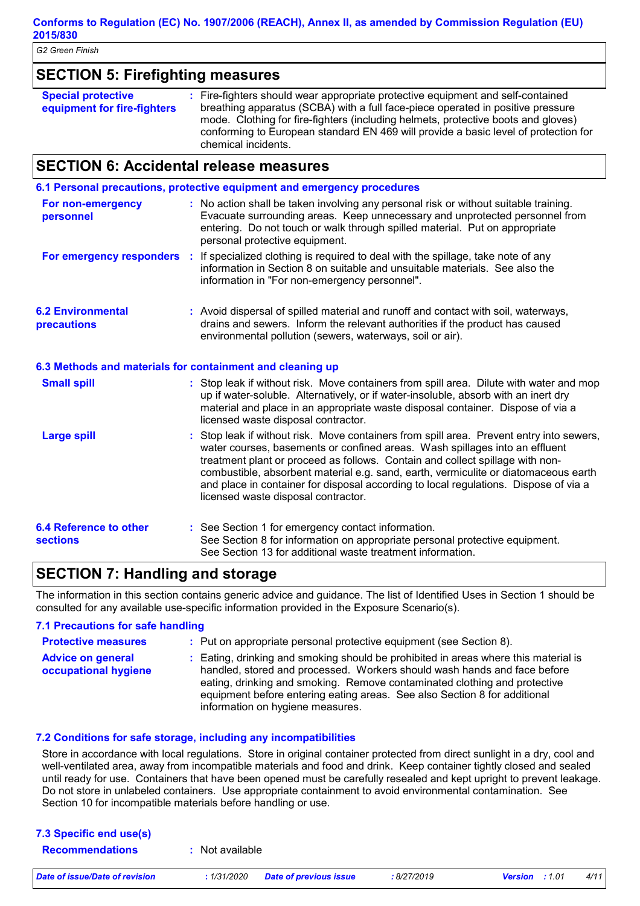| G2 Green Finish                                          |                                                                                                                                                                                                                                                                                                                                                                                                                                                                              |
|----------------------------------------------------------|------------------------------------------------------------------------------------------------------------------------------------------------------------------------------------------------------------------------------------------------------------------------------------------------------------------------------------------------------------------------------------------------------------------------------------------------------------------------------|
| <b>SECTION 5: Firefighting measures</b>                  |                                                                                                                                                                                                                                                                                                                                                                                                                                                                              |
| <b>Special protective</b><br>equipment for fire-fighters | : Fire-fighters should wear appropriate protective equipment and self-contained<br>breathing apparatus (SCBA) with a full face-piece operated in positive pressure<br>mode. Clothing for fire-fighters (including helmets, protective boots and gloves)<br>conforming to European standard EN 469 will provide a basic level of protection for<br>chemical incidents.                                                                                                        |
| <b>SECTION 6: Accidental release measures</b>            |                                                                                                                                                                                                                                                                                                                                                                                                                                                                              |
|                                                          | 6.1 Personal precautions, protective equipment and emergency procedures                                                                                                                                                                                                                                                                                                                                                                                                      |
| <b>For non-emergency</b><br>personnel                    | : No action shall be taken involving any personal risk or without suitable training.<br>Evacuate surrounding areas. Keep unnecessary and unprotected personnel from<br>entering. Do not touch or walk through spilled material. Put on appropriate<br>personal protective equipment.                                                                                                                                                                                         |
|                                                          | For emergency responders : If specialized clothing is required to deal with the spillage, take note of any<br>information in Section 8 on suitable and unsuitable materials. See also the<br>information in "For non-emergency personnel".                                                                                                                                                                                                                                   |
| <b>6.2 Environmental</b><br>precautions                  | : Avoid dispersal of spilled material and runoff and contact with soil, waterways,<br>drains and sewers. Inform the relevant authorities if the product has caused<br>environmental pollution (sewers, waterways, soil or air).                                                                                                                                                                                                                                              |
|                                                          | 6.3 Methods and materials for containment and cleaning up                                                                                                                                                                                                                                                                                                                                                                                                                    |
| <b>Small spill</b>                                       | : Stop leak if without risk. Move containers from spill area. Dilute with water and mop<br>up if water-soluble. Alternatively, or if water-insoluble, absorb with an inert dry<br>material and place in an appropriate waste disposal container. Dispose of via a<br>licensed waste disposal contractor.                                                                                                                                                                     |
| <b>Large spill</b>                                       | Stop leak if without risk. Move containers from spill area. Prevent entry into sewers,<br>water courses, basements or confined areas. Wash spillages into an effluent<br>treatment plant or proceed as follows. Contain and collect spillage with non-<br>combustible, absorbent material e.g. sand, earth, vermiculite or diatomaceous earth<br>and place in container for disposal according to local regulations. Dispose of via a<br>licensed waste disposal contractor. |
| 6.4 Reference to other<br>sections                       | : See Section 1 for emergency contact information.<br>See Section 8 for information on appropriate personal protective equipment.<br>See Section 13 for additional waste treatment information.                                                                                                                                                                                                                                                                              |

# **SECTION 7: Handling and storage**

The information in this section contains generic advice and guidance. The list of Identified Uses in Section 1 should be consulted for any available use-specific information provided in the Exposure Scenario(s).

# **7.1 Precautions for safe handling Protective measures :**

- : Put on appropriate personal protective equipment (see Section 8).
- **Advice on general occupational hygiene :** Eating, drinking and smoking should be prohibited in areas where this material is handled, stored and processed. Workers should wash hands and face before eating, drinking and smoking. Remove contaminated clothing and protective equipment before entering eating areas. See also Section 8 for additional information on hygiene measures.

# **7.2 Conditions for safe storage, including any incompatibilities**

Store in accordance with local regulations. Store in original container protected from direct sunlight in a dry, cool and well-ventilated area, away from incompatible materials and food and drink. Keep container tightly closed and sealed until ready for use. Containers that have been opened must be carefully resealed and kept upright to prevent leakage. Do not store in unlabeled containers. Use appropriate containment to avoid environmental contamination. See Section 10 for incompatible materials before handling or use.

| 7.3 Specific end use(s)        |                                       |           |                          |      |
|--------------------------------|---------------------------------------|-----------|--------------------------|------|
| <b>Recommendations</b>         | Not available                         |           |                          |      |
| Date of issue/Date of revision | Date of previous issue<br>: 1/31/2020 | 8/27/2019 | : 1.01<br><b>Version</b> | 4/11 |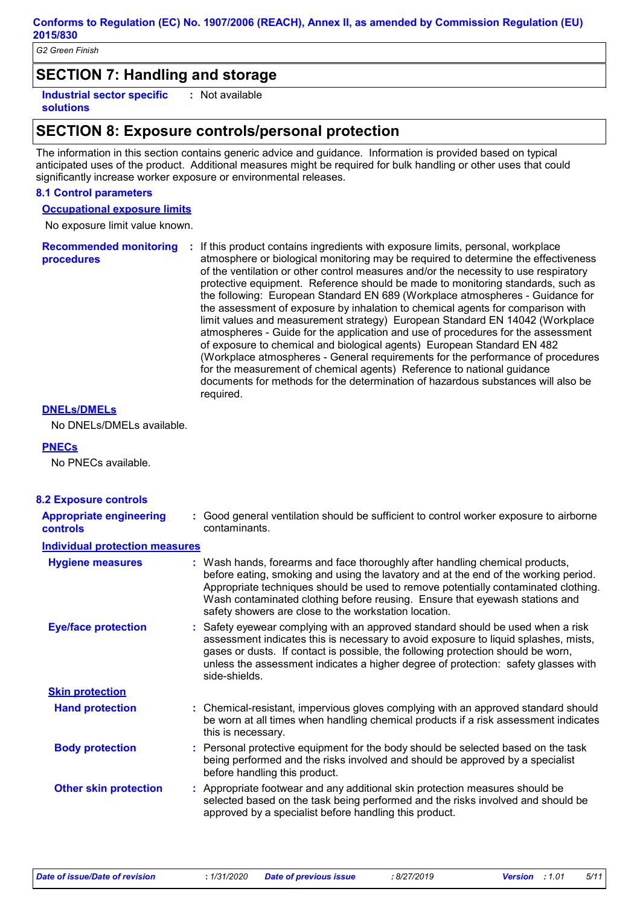# **SECTION 7: Handling and storage**

**Industrial sector specific : solutions** : Not available

# **SECTION 8: Exposure controls/personal protection**

The information in this section contains generic advice and guidance. Information is provided based on typical anticipated uses of the product. Additional measures might be required for bulk handling or other uses that could significantly increase worker exposure or environmental releases.

#### **8.1 Control parameters**

**Occupational exposure limits**

No exposure limit value known.

**Recommended monitoring**  If this product contains ingredients with exposure limits, personal, workplace **: procedures** atmosphere or biological monitoring may be required to determine the effectiveness of the ventilation or other control measures and/or the necessity to use respiratory protective equipment. Reference should be made to monitoring standards, such as the following: European Standard EN 689 (Workplace atmospheres - Guidance for the assessment of exposure by inhalation to chemical agents for comparison with limit values and measurement strategy) European Standard EN 14042 (Workplace atmospheres - Guide for the application and use of procedures for the assessment of exposure to chemical and biological agents) European Standard EN 482 (Workplace atmospheres - General requirements for the performance of procedures for the measurement of chemical agents) Reference to national guidance documents for methods for the determination of hazardous substances will also be required.

## **DNELs/DMELs**

No DNELs/DMELs available.

#### **PNECs**

No PNECs available.

| <b>8.2 Exposure controls</b>               |                                                                                                                                                                                                                                                                                                                                                                                                   |
|--------------------------------------------|---------------------------------------------------------------------------------------------------------------------------------------------------------------------------------------------------------------------------------------------------------------------------------------------------------------------------------------------------------------------------------------------------|
| <b>Appropriate engineering</b><br>controls | Good general ventilation should be sufficient to control worker exposure to airborne<br>contaminants.                                                                                                                                                                                                                                                                                             |
| <b>Individual protection measures</b>      |                                                                                                                                                                                                                                                                                                                                                                                                   |
| <b>Hygiene measures</b>                    | : Wash hands, forearms and face thoroughly after handling chemical products,<br>before eating, smoking and using the lavatory and at the end of the working period.<br>Appropriate techniques should be used to remove potentially contaminated clothing.<br>Wash contaminated clothing before reusing. Ensure that eyewash stations and<br>safety showers are close to the workstation location. |
| <b>Eye/face protection</b>                 | : Safety eyewear complying with an approved standard should be used when a risk<br>assessment indicates this is necessary to avoid exposure to liquid splashes, mists,<br>gases or dusts. If contact is possible, the following protection should be worn,<br>unless the assessment indicates a higher degree of protection: safety glasses with<br>side-shields.                                 |
| <b>Skin protection</b>                     |                                                                                                                                                                                                                                                                                                                                                                                                   |
| <b>Hand protection</b>                     | : Chemical-resistant, impervious gloves complying with an approved standard should<br>be worn at all times when handling chemical products if a risk assessment indicates<br>this is necessary.                                                                                                                                                                                                   |
| <b>Body protection</b>                     | : Personal protective equipment for the body should be selected based on the task<br>being performed and the risks involved and should be approved by a specialist<br>before handling this product.                                                                                                                                                                                               |
| <b>Other skin protection</b>               | : Appropriate footwear and any additional skin protection measures should be<br>selected based on the task being performed and the risks involved and should be<br>approved by a specialist before handling this product.                                                                                                                                                                         |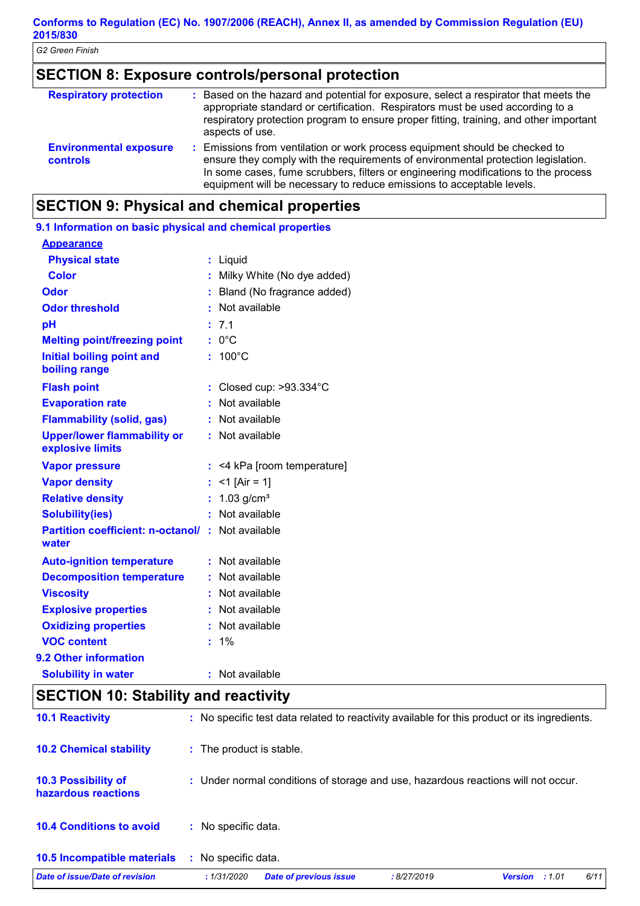# **SECTION 8: Exposure controls/personal protection**

| <b>Respiratory protection</b>                    | : Based on the hazard and potential for exposure, select a respirator that meets the<br>appropriate standard or certification. Respirators must be used according to a<br>respiratory protection program to ensure proper fitting, training, and other important<br>aspects of use.                                             |
|--------------------------------------------------|---------------------------------------------------------------------------------------------------------------------------------------------------------------------------------------------------------------------------------------------------------------------------------------------------------------------------------|
| <b>Environmental exposure</b><br><b>controls</b> | : Emissions from ventilation or work process equipment should be checked to<br>ensure they comply with the requirements of environmental protection legislation.<br>In some cases, fume scrubbers, filters or engineering modifications to the process<br>equipment will be necessary to reduce emissions to acceptable levels. |

# **SECTION 9: Physical and chemical properties**

|                                                                  | 9.1 Information on basic physical and chemical properties |                                 |  |  |  |  |
|------------------------------------------------------------------|-----------------------------------------------------------|---------------------------------|--|--|--|--|
| <b>Appearance</b>                                                |                                                           |                                 |  |  |  |  |
| <b>Physical state</b>                                            |                                                           | : Liquid                        |  |  |  |  |
| <b>Color</b>                                                     |                                                           | : Milky White (No dye added)    |  |  |  |  |
| Odor                                                             |                                                           | Bland (No fragrance added)      |  |  |  |  |
| <b>Odor threshold</b>                                            |                                                           | Not available                   |  |  |  |  |
| pH                                                               |                                                           | 7.1                             |  |  |  |  |
| <b>Melting point/freezing point</b>                              |                                                           | $: 0^{\circ}C$                  |  |  |  |  |
| Initial boiling point and<br>boiling range                       |                                                           | $100^{\circ}$ C                 |  |  |  |  |
| <b>Flash point</b>                                               |                                                           | Closed cup: $>93.334^{\circ}$ C |  |  |  |  |
| <b>Evaporation rate</b>                                          |                                                           | Not available                   |  |  |  |  |
| <b>Flammability (solid, gas)</b>                                 |                                                           | : Not available                 |  |  |  |  |
| <b>Upper/lower flammability or</b><br>explosive limits           |                                                           | : Not available                 |  |  |  |  |
| <b>Vapor pressure</b>                                            |                                                           | : <4 kPa [room temperature]     |  |  |  |  |
| <b>Vapor density</b>                                             |                                                           | $<$ 1 [Air = 1]                 |  |  |  |  |
| <b>Relative density</b>                                          |                                                           | $1.03$ g/cm <sup>3</sup>        |  |  |  |  |
| <b>Solubility(ies)</b>                                           |                                                           | : Not available                 |  |  |  |  |
| <b>Partition coefficient: n-octanol/: Not available</b><br>water |                                                           |                                 |  |  |  |  |
| <b>Auto-ignition temperature</b>                                 | t.                                                        | Not available                   |  |  |  |  |
| <b>Decomposition temperature</b>                                 |                                                           | : Not available                 |  |  |  |  |
| <b>Viscosity</b>                                                 |                                                           | : Not available                 |  |  |  |  |
| <b>Explosive properties</b>                                      |                                                           | : Not available                 |  |  |  |  |
| <b>Oxidizing properties</b>                                      |                                                           | : Not available                 |  |  |  |  |
| <b>VOC content</b>                                               |                                                           | 1%                              |  |  |  |  |
| 9.2 Other information                                            |                                                           |                                 |  |  |  |  |
| <b>Solubility in water</b>                                       | ŧ.                                                        | Not available                   |  |  |  |  |

# **SECTION 10: Stability and reactivity**

| <b>10.1 Reactivity</b>                            | : No specific test data related to reactivity available for this product or its ingredients.  |  |
|---------------------------------------------------|-----------------------------------------------------------------------------------------------|--|
| <b>10.2 Chemical stability</b>                    | : The product is stable.                                                                      |  |
| <b>10.3 Possibility of</b><br>hazardous reactions | : Under normal conditions of storage and use, hazardous reactions will not occur.             |  |
| <b>10.4 Conditions to avoid</b>                   | : No specific data.                                                                           |  |
| <b>10.5 Incompatible materials</b>                | No specific data.<br>÷.                                                                       |  |
| Date of issue/Date of revision                    | 6/11<br><b>Date of previous issue</b><br>: 1/31/2020<br>:8/27/2019<br><b>Version</b><br>:1.01 |  |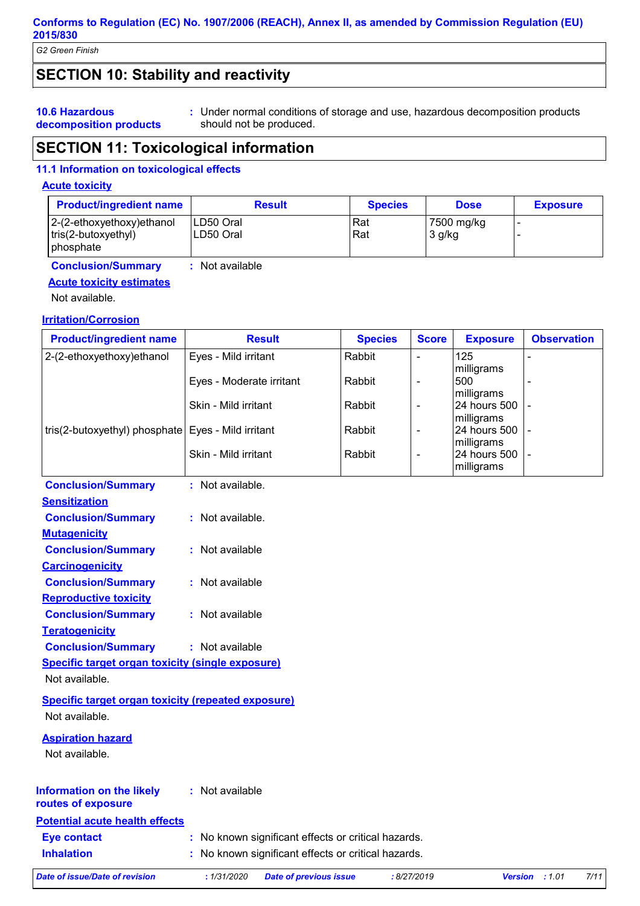*G2 Green Finish*

# **SECTION 10: Stability and reactivity**

#### **10.6 Hazardous decomposition products**

Under normal conditions of storage and use, hazardous decomposition products **:** should not be produced.

# **SECTION 11: Toxicological information**

## **11.1 Information on toxicological effects**

# **Acute toxicity**

| <b>Product/ingredient name</b>                                       | <b>Result</b>           | <b>Species</b> | <b>Dose</b>            | <b>Exposure</b> |
|----------------------------------------------------------------------|-------------------------|----------------|------------------------|-----------------|
| $ 2-(2-ethoxyethoxy)ethanol$<br>$ tris(2-butoxyethyl) $<br>phosphate | ILD50 Oral<br>LD50 Oral | Rat<br>Rat     | 7500 mg/kg<br>$3$ g/kg |                 |
| <b>Conclusion/Summary</b>                                            | : Not available         |                |                        |                 |

# **Acute toxicity estimates**

Not available.

## **Irritation/Corrosion**

| <b>Product/ingredient name</b>                            | <b>Result</b>            | <b>Species</b> | <b>Score</b>   | <b>Exposure</b>                          | <b>Observation</b> |
|-----------------------------------------------------------|--------------------------|----------------|----------------|------------------------------------------|--------------------|
| 2-(2-ethoxyethoxy)ethanol                                 | Eyes - Mild irritant     | Rabbit         | ÷,             | 125                                      |                    |
|                                                           | Eyes - Moderate irritant | Rabbit         | $\blacksquare$ | milligrams<br>500                        |                    |
|                                                           | Skin - Mild irritant     | Rabbit         | $\blacksquare$ | milligrams<br>24 hours 500<br>milligrams |                    |
| tris(2-butoxyethyl) phosphate                             | Eyes - Mild irritant     | Rabbit         | $\blacksquare$ | 24 hours 500                             |                    |
|                                                           | Skin - Mild irritant     | Rabbit         | $\blacksquare$ | milligrams<br>24 hours 500<br>milligrams |                    |
| <b>Conclusion/Summary</b>                                 | : Not available.         |                |                |                                          |                    |
| <b>Sensitization</b>                                      |                          |                |                |                                          |                    |
| <b>Conclusion/Summary</b>                                 | : Not available.         |                |                |                                          |                    |
| <b>Mutagenicity</b>                                       |                          |                |                |                                          |                    |
| <b>Conclusion/Summary</b>                                 | : Not available          |                |                |                                          |                    |
| <b>Carcinogenicity</b>                                    |                          |                |                |                                          |                    |
| <b>Conclusion/Summary</b>                                 | : Not available          |                |                |                                          |                    |
| <b>Reproductive toxicity</b>                              |                          |                |                |                                          |                    |
| <b>Conclusion/Summary</b>                                 | : Not available          |                |                |                                          |                    |
| <b>Teratogenicity</b>                                     |                          |                |                |                                          |                    |
| <b>Conclusion/Summary</b>                                 | : Not available          |                |                |                                          |                    |
| <b>Specific target organ toxicity (single exposure)</b>   |                          |                |                |                                          |                    |
| Not available.                                            |                          |                |                |                                          |                    |
| <b>Specific target organ toxicity (repeated exposure)</b> |                          |                |                |                                          |                    |
| Not available.                                            |                          |                |                |                                          |                    |
| <b>Aspiration hazard</b>                                  |                          |                |                |                                          |                    |
| Not available.                                            |                          |                |                |                                          |                    |
| <b>Information on the likely</b><br>routes of exposure    | : Not available          |                |                |                                          |                    |
| <b>Potential acute health effects</b>                     |                          |                |                |                                          |                    |
|                                                           |                          |                |                |                                          |                    |

| <b>Eye contact</b> | : No known significant effects or critical hazards. |
|--------------------|-----------------------------------------------------|
| <b>Inhalation</b>  | : No known significant effects or critical hazards. |

*Date of issue/Date of revision* **:** *1/31/2020 Date of previous issue : 8/27/2019 Version : 1.01 7/11*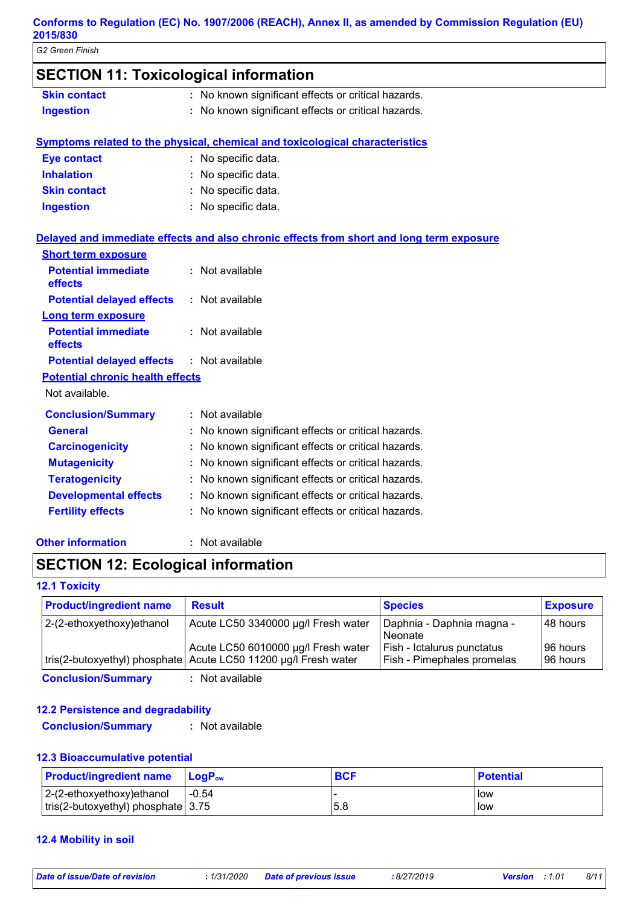*G2 Green Finish*

| <b>SECTION 11: Toxicological information</b> |                                                                                          |
|----------------------------------------------|------------------------------------------------------------------------------------------|
| <b>Skin contact</b>                          | : No known significant effects or critical hazards.                                      |
| <b>Ingestion</b>                             | : No known significant effects or critical hazards.                                      |
|                                              | <b>Symptoms related to the physical, chemical and toxicological characteristics</b>      |
| <b>Eye contact</b>                           | : No specific data.                                                                      |
| <b>Inhalation</b>                            | : No specific data.                                                                      |
| <b>Skin contact</b>                          | : No specific data.                                                                      |
| <b>Ingestion</b>                             | : No specific data.                                                                      |
|                                              | Delayed and immediate effects and also chronic effects from short and long term exposure |
| <b>Short term exposure</b>                   |                                                                                          |
| <b>Potential immediate</b><br>effects        | : Not available                                                                          |
| <b>Potential delayed effects</b>             | : Not available                                                                          |
| <b>Long term exposure</b>                    |                                                                                          |
| <b>Potential immediate</b><br>effects        | : Not available                                                                          |
| <b>Potential delayed effects</b>             | : Not available                                                                          |
| <b>Potential chronic health effects</b>      |                                                                                          |
| Not available.                               |                                                                                          |
| <b>Conclusion/Summary</b>                    | : Not available                                                                          |
| <b>General</b>                               | : No known significant effects or critical hazards.                                      |
| <b>Carcinogenicity</b>                       | : No known significant effects or critical hazards.                                      |
| <b>Mutagenicity</b>                          | : No known significant effects or critical hazards.                                      |
| <b>Teratogenicity</b>                        | : No known significant effects or critical hazards.                                      |
| <b>Developmental effects</b>                 | : No known significant effects or critical hazards.                                      |
| <b>Fertility effects</b>                     | : No known significant effects or critical hazards.                                      |

# **Other information :**

: Not available

# **SECTION 12: Ecological information**

## **12.1 Toxicity**

| <b>Product/ingredient name</b> | <b>Result</b>                                                   | <b>Species</b>             | <b>Exposure</b> |
|--------------------------------|-----------------------------------------------------------------|----------------------------|-----------------|
| $ 2-(2-ethoxyethoxy)e$ thanol  | Acute LC50 3340000 µg/l Fresh water                             | Daphnia - Daphnia magna -  | 148 hours       |
|                                |                                                                 | Neonate                    |                 |
|                                | Acute LC50 6010000 µg/l Fresh water                             | Fish - Ictalurus punctatus | 196 hours       |
|                                | tris(2-butoxyethyl) phosphate Acute LC50 11200 µg/l Fresh water | Fish - Pimephales promelas | 196 hours       |

**Conclusion/Summary :** Not available

## **12.2 Persistence and degradability**

**Conclusion/Summary :** Not available

#### **12.3 Bioaccumulative potential**

| <b>Product/ingredient name</b>     | <b>LogP</b> <sub>ow</sub> | <b>BCF</b> | <b>Potential</b> |
|------------------------------------|---------------------------|------------|------------------|
| $ 2-(2-ethoxyethoxy)ethanol$       | $-0.54$                   |            | <b>I</b> low     |
| tris(2-butoxyethyl) phosphate 3.75 |                           | 5.8        | low              |

# **12.4 Mobility in soil**

*Date of issue/Date of revision* **:** *1/31/2020 Date of previous issue : 8/27/2019 Version : 1.01 8/11*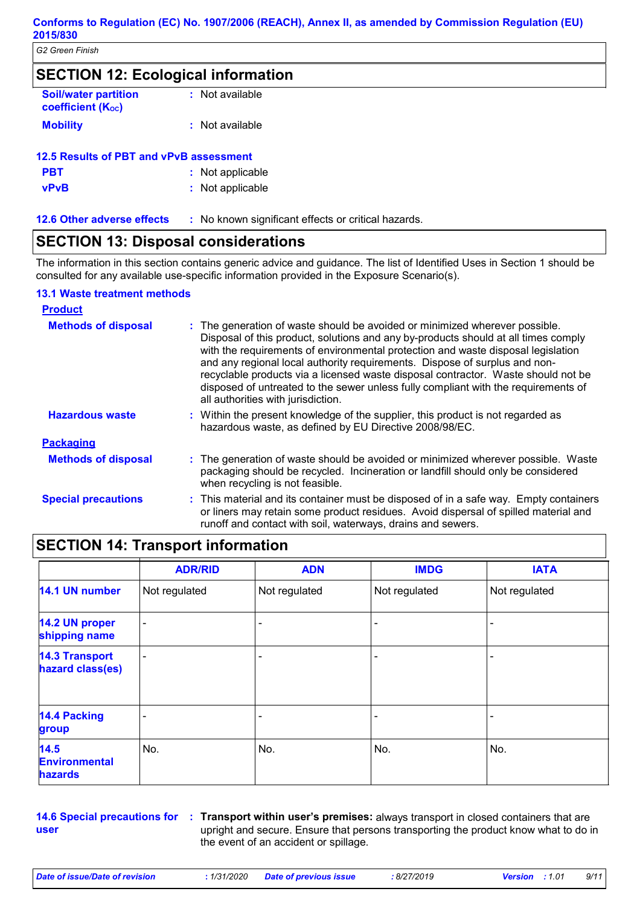| <b>SECTION 12: Ecological information</b>             |                 |  |
|-------------------------------------------------------|-----------------|--|
| <b>Soil/water partition</b><br>coefficient $(K_{oc})$ | : Not available |  |
| <b>Mobility</b>                                       | : Not available |  |

| 12.5 Results of PBT and vPvB assessment |                  |  |
|-----------------------------------------|------------------|--|
| <b>PBT</b>                              | : Not applicable |  |
| <b>vPvB</b>                             | : Not applicable |  |

| <b>12.6 Other adverse effects</b> | : No known significant effects or critical hazards. |
|-----------------------------------|-----------------------------------------------------|
|                                   |                                                     |

# **SECTION 13: Disposal considerations**

The information in this section contains generic advice and guidance. The list of Identified Uses in Section 1 should be consulted for any available use-specific information provided in the Exposure Scenario(s).

# **13.1 Waste treatment methods**

| <b>Product</b>             |                                                                                                                                                                                                                                                                                                                                                                                                                                                                                                                                                      |
|----------------------------|------------------------------------------------------------------------------------------------------------------------------------------------------------------------------------------------------------------------------------------------------------------------------------------------------------------------------------------------------------------------------------------------------------------------------------------------------------------------------------------------------------------------------------------------------|
| <b>Methods of disposal</b> | : The generation of waste should be avoided or minimized wherever possible.<br>Disposal of this product, solutions and any by-products should at all times comply<br>with the requirements of environmental protection and waste disposal legislation<br>and any regional local authority requirements. Dispose of surplus and non-<br>recyclable products via a licensed waste disposal contractor. Waste should not be<br>disposed of untreated to the sewer unless fully compliant with the requirements of<br>all authorities with jurisdiction. |
| <b>Hazardous waste</b>     | : Within the present knowledge of the supplier, this product is not regarded as<br>hazardous waste, as defined by EU Directive 2008/98/EC.                                                                                                                                                                                                                                                                                                                                                                                                           |
| <b>Packaging</b>           |                                                                                                                                                                                                                                                                                                                                                                                                                                                                                                                                                      |
| <b>Methods of disposal</b> | : The generation of waste should be avoided or minimized wherever possible. Waste<br>packaging should be recycled. Incineration or landfill should only be considered<br>when recycling is not feasible.                                                                                                                                                                                                                                                                                                                                             |
| <b>Special precautions</b> | : This material and its container must be disposed of in a safe way. Empty containers<br>or liners may retain some product residues. Avoid dispersal of spilled material and<br>runoff and contact with soil, waterways, drains and sewers.                                                                                                                                                                                                                                                                                                          |

# **SECTION 14: Transport information**

|                                                | <b>ADR/RID</b>           | <b>ADN</b>    | <b>IMDG</b>   | <b>IATA</b>    |
|------------------------------------------------|--------------------------|---------------|---------------|----------------|
| 14.1 UN number                                 | Not regulated            | Not regulated | Not regulated | Not regulated  |
| 14.2 UN proper<br>shipping name                | $\overline{\phantom{0}}$ |               |               |                |
| <b>14.3 Transport</b><br>hazard class(es)      | ٠                        |               | ۳             | $\blacksquare$ |
| <b>14.4 Packing</b><br>group                   |                          |               |               |                |
| 14.5<br><b>Environmental</b><br><b>hazards</b> | No.                      | No.           | No.           | No.            |

**user**

**14.6 Special precautions for Transport within user's premises:** always transport in closed containers that are **:** upright and secure. Ensure that persons transporting the product know what to do in the event of an accident or spillage.

*Date of issue/Date of revision* **:** *1/31/2020 Date of previous issue : 8/27/2019 Version : 1.01 9/11*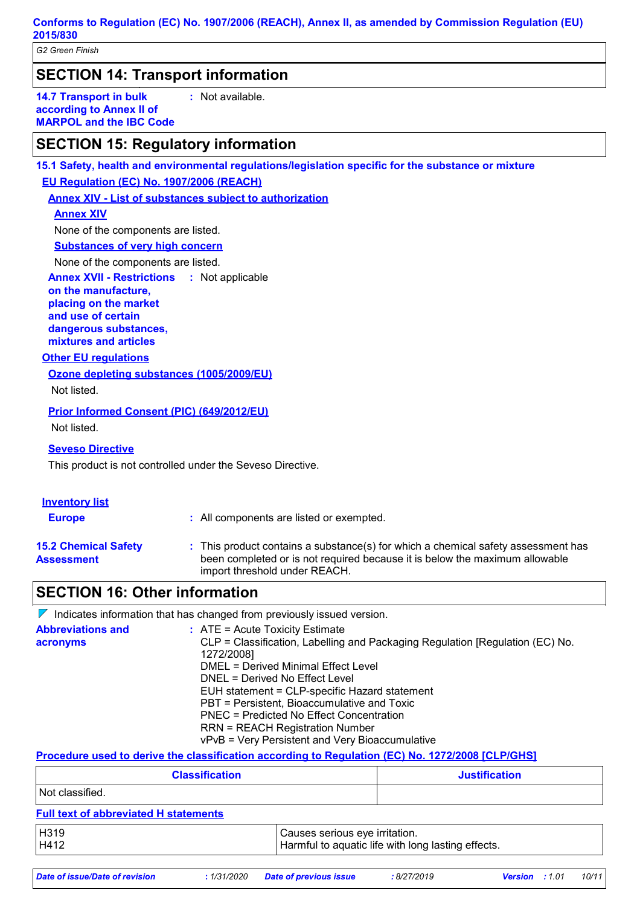*G2 Green Finish*

**SECTION 14: Transport information**

**14.7 Transport in bulk according to Annex II of MARPOL and the IBC Code** **:** Not available.

# **SECTION 15: Regulatory information**

**15.1 Safety, health and environmental regulations/legislation specific for the substance or mixture EU Regulation (EC) No. 1907/2006 (REACH)**

**Annex XIV - List of substances subject to authorization**

## **Annex XIV**

None of the components are listed.

# **Substances of very high concern**

None of the components are listed.

**Annex XVII - Restrictions :**

**on the manufacture, placing on the market and use of certain dangerous substances, mixtures and articles**

#### **Other EU regulations**

**Ozone depleting substances (1005/2009/EU)**

Not listed.

## **Prior Informed Consent (PIC) (649/2012/EU)**

Not listed.

#### **Seveso Directive**

This product is not controlled under the Seveso Directive.

| <b>Inventory list</b><br><b>Europe</b>           | : All components are listed or exempted.                                                                                                                                                          |
|--------------------------------------------------|---------------------------------------------------------------------------------------------------------------------------------------------------------------------------------------------------|
| <b>15.2 Chemical Safety</b><br><b>Assessment</b> | : This product contains a substance(s) for which a chemical safety assessment has<br>been completed or is not required because it is below the maximum allowable<br>import threshold under REACH. |

# **SECTION 16: Other information**

 $\nabla$  Indicates information that has changed from previously issued version. **Abbreviations and acronyms :** ATE = Acute Toxicity Estimate CLP = Classification, Labelling and Packaging Regulation [Regulation (EC) No. 1272/2008] DMEL = Derived Minimal Effect Level DNEL = Derived No Effect Level EUH statement = CLP-specific Hazard statement PBT = Persistent, Bioaccumulative and Toxic PNEC = Predicted No Effect Concentration RRN = REACH Registration Number vPvB = Very Persistent and Very Bioaccumulative

# **Procedure used to derive the classification according to Regulation (EC) No. 1272/2008 [CLP/GHS]**

| <b>Classification</b>                        |                                | <b>Justification</b>                               |
|----------------------------------------------|--------------------------------|----------------------------------------------------|
| Not classified.                              |                                |                                                    |
| <b>Full text of abbreviated H statements</b> |                                |                                                    |
| H319<br>H412                                 | Causes serious eye irritation. | Harmful to aquatic life with long lasting effects. |

*Date of issue/Date of revision* **:** *1/31/2020 Date of previous issue : 8/27/2019 Version : 1.01 10/11*